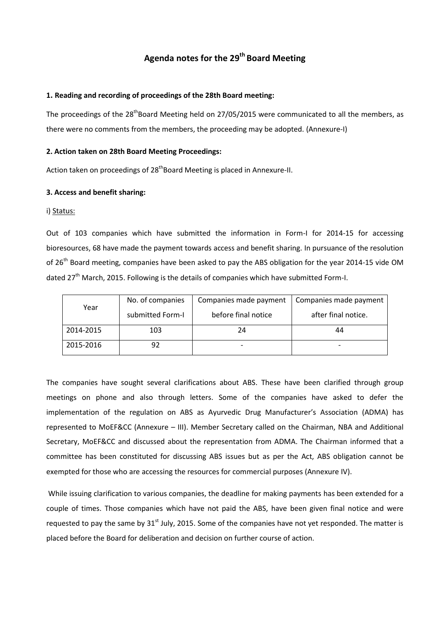# **Agenda notes for the 29 th Board Meeting**

### **1. Reading and recording of proceedings of the 28th Board meeting:**

The proceedings of the 28<sup>th</sup>Board Meeting held on 27/05/2015 were communicated to all the members, as there were no comments from the members, the proceeding may be adopted. (Annexure-I)

#### **2. Action taken on 28th Board Meeting Proceedings:**

Action taken on proceedings of 28<sup>th</sup>Board Meeting is placed in Annexure-II.

#### **3. Access and benefit sharing:**

#### i) Status:

Out of 103 companies which have submitted the information in Form-I for 2014-15 for accessing bioresources, 68 have made the payment towards access and benefit sharing. In pursuance of the resolution of 26<sup>th</sup> Board meeting, companies have been asked to pay the ABS obligation for the year 2014-15 vide OM dated 27<sup>th</sup> March, 2015. Following is the details of companies which have submitted Form-I.

| Year      | No. of companies | Companies made payment | Companies made payment |
|-----------|------------------|------------------------|------------------------|
|           | submitted Form-I | before final notice    | after final notice.    |
| 2014-2015 | 103              | 24                     | 44                     |
| 2015-2016 | 92               |                        |                        |

The companies have sought several clarifications about ABS. These have been clarified through group meetings on phone and also through letters. Some of the companies have asked to defer the implementation of the regulation on ABS as Ayurvedic Drug Manufacturer's Association (ADMA) has represented to MoEF&CC (Annexure – III). Member Secretary called on the Chairman, NBA and Additional Secretary, MoEF&CC and discussed about the representation from ADMA. The Chairman informed that a committee has been constituted for discussing ABS issues but as per the Act, ABS obligation cannot be exempted for those who are accessing the resources for commercial purposes (Annexure IV).

While issuing clarification to various companies, the deadline for making payments has been extended for a couple of times. Those companies which have not paid the ABS, have been given final notice and were requested to pay the same by  $31<sup>st</sup>$  July, 2015. Some of the companies have not yet responded. The matter is placed before the Board for deliberation and decision on further course of action.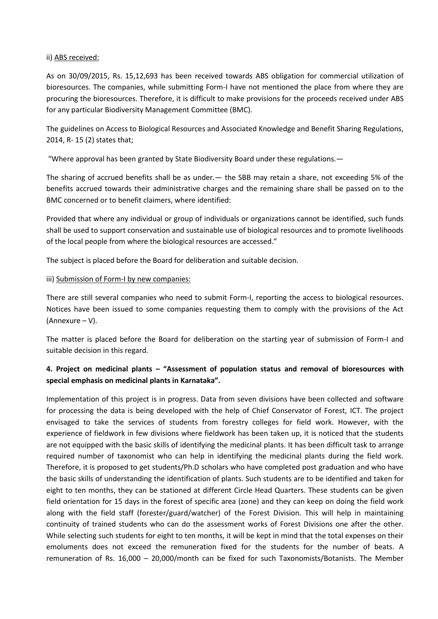### ii) ABS received:

As on 30/09/2015, Rs. 15,12,693 has been received towards ABS obligation for commercial utilization of bioresources. The companies, while submitting Form-I have not mentioned the place from where they are procuring the bioresources. Therefore, it is difficult to make provisions for the proceeds received under ABS for any particular Biodiversity Management Committee (BMC).

The guidelines on Access to Biological Resources and Associated Knowledge and Benefit Sharing Regulations, 2014, R- 15 (2) states that;

"Where approval has been granted by State Biodiversity Board under these regulations.—

The sharing of accrued benefits shall be as under.— the SBB may retain a share, not exceeding 5% of the benefits accrued towards their administrative charges and the remaining share shall be passed on to the BMC concerned or to benefit claimers, where identified:

Provided that where any individual or group of individuals or organizations cannot be identified, such funds shall be used to support conservation and sustainable use of biological resources and to promote livelihoods of the local people from where the biological resources are accessed."

The subject is placed before the Board for deliberation and suitable decision.

### iii) Submission of Form-I by new companies:

There are still several companies who need to submit Form-I, reporting the access to biological resources. Notices have been issued to some companies requesting them to comply with the provisions of the Act (Annexure – V).

The matter is placed before the Board for deliberation on the starting year of submission of Form-I and suitable decision in this regard.

## **4. Project on medicinal plants – "Assessment of population status and removal of bioresources with special emphasis on medicinal plants in Karnataka".**

Implementation of this project is in progress. Data from seven divisions have been collected and software for processing the data is being developed with the help of Chief Conservator of Forest, ICT. The project envisaged to take the services of students from forestry colleges for field work. However, with the experience of fieldwork in few divisions where fieldwork has been taken up, it is noticed that the students are not equipped with the basic skills of identifying the medicinal plants. It has been difficult task to arrange required number of taxonomist who can help in identifying the medicinal plants during the field work. Therefore, it is proposed to get students/Ph.D scholars who have completed post graduation and who have the basic skills of understanding the identification of plants. Such students are to be identified and taken for eight to ten months, they can be stationed at different Circle Head Quarters. These students can be given field orientation for 15 days in the forest of specific area (zone) and they can keep on doing the field work along with the field staff (forester/guard/watcher) of the Forest Division. This will help in maintaining continuity of trained students who can do the assessment works of Forest Divisions one after the other. While selecting such students for eight to ten months, it will be kept in mind that the total expenses on their emoluments does not exceed the remuneration fixed for the students for the number of beats. A remuneration of Rs. 16,000 – 20,000/month can be fixed for such Taxonomists/Botanists. The Member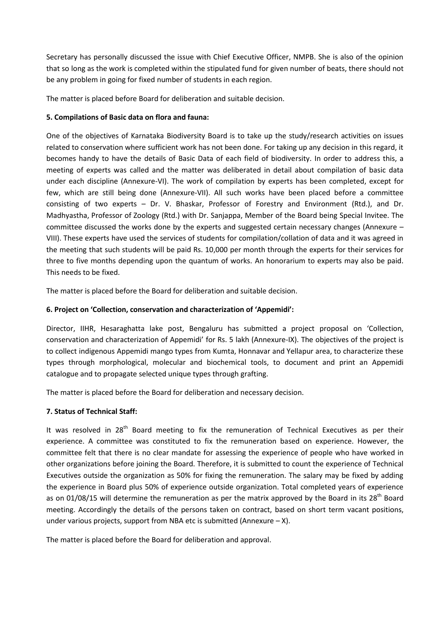Secretary has personally discussed the issue with Chief Executive Officer, NMPB. She is also of the opinion that so long as the work is completed within the stipulated fund for given number of beats, there should not be any problem in going for fixed number of students in each region.

The matter is placed before Board for deliberation and suitable decision.

### **5. Compilations of Basic data on flora and fauna:**

One of the objectives of Karnataka Biodiversity Board is to take up the study/research activities on issues related to conservation where sufficient work has not been done. For taking up any decision in this regard, it becomes handy to have the details of Basic Data of each field of biodiversity. In order to address this, a meeting of experts was called and the matter was deliberated in detail about compilation of basic data under each discipline (Annexure-VI). The work of compilation by experts has been completed, except for few, which are still being done (Annexure-VII). All such works have been placed before a committee consisting of two experts – Dr. V. Bhaskar, Professor of Forestry and Environment (Rtd.), and Dr. Madhyastha, Professor of Zoology (Rtd.) with Dr. Sanjappa, Member of the Board being Special Invitee. The committee discussed the works done by the experts and suggested certain necessary changes (Annexure – VIII). These experts have used the services of students for compilation/collation of data and it was agreed in the meeting that such students will be paid Rs. 10,000 per month through the experts for their services for three to five months depending upon the quantum of works. An honorarium to experts may also be paid. This needs to be fixed.

The matter is placed before the Board for deliberation and suitable decision.

### **6. Project on 'Collection, conservation and characterization of 'Appemidi':**

Director, IIHR, Hesaraghatta lake post, Bengaluru has submitted a project proposal on 'Collection, conservation and characterization of Appemidi' for Rs. 5 lakh (Annexure-IX). The objectives of the project is to collect indigenous Appemidi mango types from Kumta, Honnavar and Yellapur area, to characterize these types through morphological, molecular and biochemical tools, to document and print an Appemidi catalogue and to propagate selected unique types through grafting.

The matter is placed before the Board for deliberation and necessary decision.

## **7. Status of Technical Staff:**

It was resolved in  $28<sup>th</sup>$  Board meeting to fix the remuneration of Technical Executives as per their experience. A committee was constituted to fix the remuneration based on experience. However, the committee felt that there is no clear mandate for assessing the experience of people who have worked in other organizations before joining the Board. Therefore, it is submitted to count the experience of Technical Executives outside the organization as 50% for fixing the remuneration. The salary may be fixed by adding the experience in Board plus 50% of experience outside organization. Total completed years of experience as on 01/08/15 will determine the remuneration as per the matrix approved by the Board in its 28<sup>th</sup> Board meeting. Accordingly the details of the persons taken on contract, based on short term vacant positions, under various projects, support from NBA etc is submitted (Annexure – X).

The matter is placed before the Board for deliberation and approval.